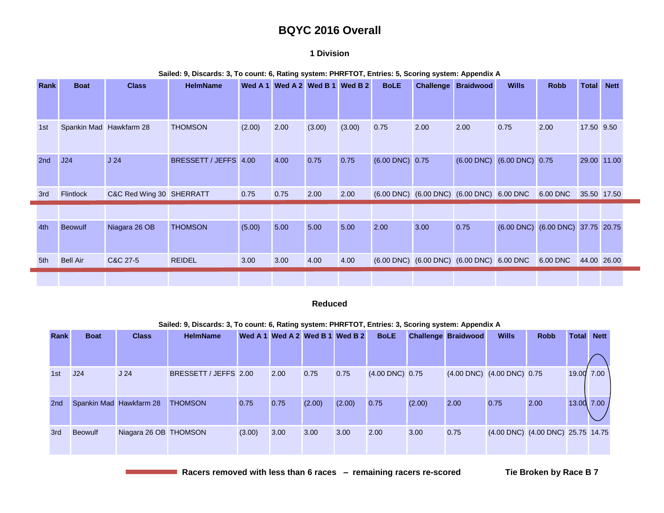# **BQYC 2016 Overall**

### **1 Division**

| Rank | <b>Boat</b>             | <b>Class</b>             | <b>HelmName</b>       |        | Wed A 1 Wed A 2 Wed B 1 |        | Wed B <sub>2</sub> | <b>BoLE</b>          |                                           | <b>Challenge Braidwood</b> | <b>Wills</b>                    | <b>Robb</b>            | <b>Total</b> | <b>Nett</b> |
|------|-------------------------|--------------------------|-----------------------|--------|-------------------------|--------|--------------------|----------------------|-------------------------------------------|----------------------------|---------------------------------|------------------------|--------------|-------------|
|      |                         |                          |                       |        |                         |        |                    |                      |                                           |                            |                                 |                        |              |             |
| 1st  | Spankin Mad Hawkfarm 28 |                          | <b>THOMSON</b>        | (2.00) | 2.00                    | (3.00) | (3.00)             | 0.75                 | 2.00                                      | 2.00                       | 0.75                            | 2.00                   | 17.50 9.50   |             |
| 2nd  | J24                     | J <sub>24</sub>          | BRESSETT / JEFFS 4.00 |        | 4.00                    | 0.75   | 0.75               | $(6.00$ DNC $)$ 0.75 |                                           |                            | $(6.00$ DNC $)$ $(6.00$ DNC $)$ | 0.75                   |              | 29.00 11.00 |
| 3rd  | Flintlock               | C&C Red Wing 30 SHERRATT |                       | 0.75   | 0.75                    | 2.00   | 2.00               |                      | (6.00 DNC) (6.00 DNC) (6.00 DNC) 6.00 DNC |                            |                                 | 6.00 DNC               | 35.50 17.50  |             |
|      |                         |                          |                       |        |                         |        |                    |                      |                                           |                            |                                 |                        |              |             |
| 4th  | Beowulf                 | Niagara 26 OB            | <b>THOMSON</b>        | (5.00) | 5.00                    | 5.00   | 5.00               | 2.00                 | 3.00                                      | 0.75                       | $(6.00$ DNC $)$                 | (6.00 DNC) 37.75 20.75 |              |             |
| 5th  | <b>Bell Air</b>         | C&C 27-5                 | <b>REIDEL</b>         | 3.00   | 3.00                    | 4.00   | 4.00               |                      | (6.00 DNC) (6.00 DNC) (6.00 DNC) 6.00 DNC |                            |                                 | 6.00 DNC               | 44.00 26.00  |             |
|      |                         |                          |                       |        |                         |        |                    |                      |                                           |                            |                                 |                        |              |             |

#### **Sailed: 9, Discards: 3, To count: 6, Rating system: PHRFTOT, Entries: 5, Scoring system: Appendix A**

#### **Reduced**

#### **Sailed: 9, Discards: 3, To count: 6, Rating system: PHRFTOT, Entries: 3, Scoring system: Appendix A**

| <b>Rank</b>     | <b>Boat</b>    | <b>Class</b>            | <b>HelmName</b>       |        |      |        | Wed A 1 Wed A 2 Wed B 1 Wed B 2 | <b>BoLE</b>          |        | <b>Challenge Braidwood</b> | <b>Wills</b> | <b>Robb</b>                       | Total          | <b>Nett</b> |
|-----------------|----------------|-------------------------|-----------------------|--------|------|--------|---------------------------------|----------------------|--------|----------------------------|--------------|-----------------------------------|----------------|-------------|
|                 |                |                         |                       |        |      |        |                                 |                      |        |                            |              |                                   |                |             |
| 1st             | J24            | J <sub>24</sub>         | BRESSETT / JEFFS 2.00 |        | 2.00 | 0.75   | 0.75                            | $(4.00$ DNC $)$ 0.75 |        | (4.00 DNC) (4.00 DNC) 0.75 |              |                                   | 19.00 7.00     |             |
| 2 <sub>nd</sub> |                | Spankin Mad Hawkfarm 28 | <b>THOMSON</b>        | 0.75   | 0.75 | (2.00) | (2.00)                          | 0.75                 | (2.00) | 2.00                       | 0.75         | 2.00                              | $13.00$ $7.00$ |             |
| 3rd             | <b>Beowulf</b> | Niagara 26 OB THOMSON   |                       | (3.00) | 3.00 | 3.00   | 3.00                            | 2.00                 | 3.00   | 0.75                       |              | (4.00 DNC) (4.00 DNC) 25.75 14.75 |                |             |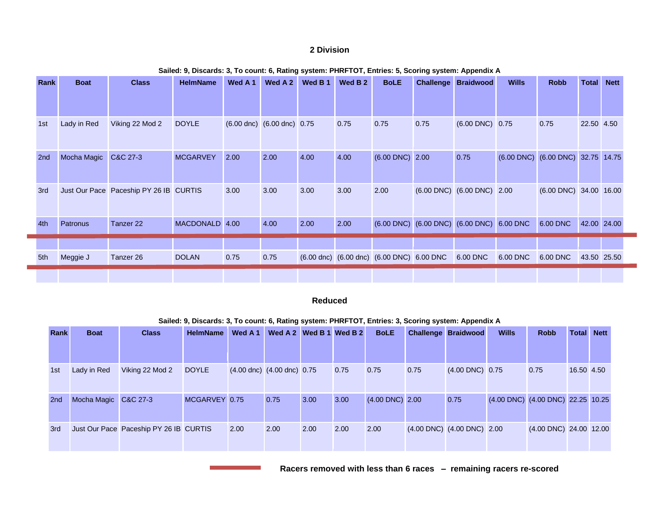### **2 Division**

| Rank | <b>Boat</b> | <b>Class</b>                           | <b>HelmName</b> | Wed A 1 | Wed A 2                                        | Wed B 1 | Wed B <sub>2</sub> | <b>BoLE</b>                                                             | <b>Challenge</b>                                                        | <b>Braidwood</b>                               | <b>Wills</b> | <b>Robb</b>                       | <b>Total</b> | <b>Nett</b> |
|------|-------------|----------------------------------------|-----------------|---------|------------------------------------------------|---------|--------------------|-------------------------------------------------------------------------|-------------------------------------------------------------------------|------------------------------------------------|--------------|-----------------------------------|--------------|-------------|
|      |             |                                        |                 |         |                                                |         |                    |                                                                         |                                                                         |                                                |              |                                   |              |             |
| 1st  | Lady in Red | Viking 22 Mod 2                        | <b>DOYLE</b>    |         | $(6.00 \text{ dnc})$ $(6.00 \text{ dnc})$ 0.75 |         | 0.75               | 0.75                                                                    | 0.75                                                                    | $(6.00$ DNC $)$ 0.75                           |              | 0.75                              | 22.50 4.50   |             |
| 2nd  | Mocha Magic | C&C 27-3                               | <b>MCGARVEY</b> | 2.00    | 2.00                                           | 4.00    | 4.00               | $(6.00$ DNC $)$ 2.00                                                    |                                                                         | 0.75                                           |              | (6.00 DNC) (6.00 DNC) 32.75 14.75 |              |             |
| 3rd  |             | Just Our Pace Paceship PY 26 IB CURTIS |                 | 3.00    | 3.00                                           | 3.00    | 3.00               | 2.00                                                                    |                                                                         | $(6.00 \text{ DNC})$ $(6.00 \text{ DNC})$ 2.00 |              | $(6.00$ DNC $)$ 34.00 16.00       |              |             |
| 4th  | Patronus    | Tanzer 22                              | MACDONALD 4.00  |         | 4.00                                           | 2.00    | 2.00               |                                                                         | $(6.00 \text{ DNC})$ $(6.00 \text{ DNC})$ $(6.00 \text{ DNC})$ 6.00 DNC |                                                |              | 6.00 DNC                          | 42.00 24.00  |             |
|      |             |                                        |                 |         |                                                |         |                    |                                                                         |                                                                         |                                                |              |                                   |              |             |
| 5th  | Meggie J    | Tanzer 26                              | <b>DOLAN</b>    | 0.75    | 0.75                                           |         |                    | $(6.00 \text{ dnc})$ $(6.00 \text{ dnc})$ $(6.00 \text{ DNC})$ 6.00 DNC |                                                                         | 6.00 DNC                                       | 6.00 DNC     | 6.00 DNC                          |              | 43.50 25.50 |
|      |             |                                        |                 |         |                                                |         |                    |                                                                         |                                                                         |                                                |              |                                   |              |             |

#### **Sailed: 9, Discards: 3, To count: 6, Rating system: PHRFTOT, Entries: 5, Scoring system: Appendix A**

### **Reduced**

**Sailed: 9, Discards: 3, To count: 6, Rating system: PHRFTOT, Entries: 3, Scoring system: Appendix A**

| <b>Rank</b>     | <b>Boat</b>          | <b>Class</b>                           | <b>HelmName</b> | Wed A 1 | Wed A 2 Wed B 1 Wed B 2          |      |      | <b>BoLE</b>          |      | <b>Challenge Braidwood</b>                     | <b>Wills</b> | <b>Robb</b>                           | <b>Total</b> | <b>Nett</b> |
|-----------------|----------------------|----------------------------------------|-----------------|---------|----------------------------------|------|------|----------------------|------|------------------------------------------------|--------------|---------------------------------------|--------------|-------------|
|                 |                      |                                        |                 |         |                                  |      |      |                      |      |                                                |              |                                       |              |             |
| 1st             | Lady in Red          | Viking 22 Mod 2                        | <b>DOYLE</b>    |         | $(4.00$ dnc) $(4.00$ dnc) $0.75$ |      | 0.75 | 0.75                 | 0.75 | $(4.00$ DNC $)$ 0.75                           |              | 0.75                                  | 16.50 4.50   |             |
| 2 <sub>nd</sub> | Mocha Magic C&C 27-3 |                                        | MCGARVEY 0.75   |         | 0.75                             | 3.00 | 3.00 | $(4.00$ DNC $)$ 2.00 |      | 0.75                                           |              | $(4.00$ DNC) $(4.00$ DNC) 22.25 10.25 |              |             |
| 3rd             |                      | Just Our Pace Paceship PY 26 IB CURTIS |                 | 2.00    | 2.00                             | 2.00 | 2.00 | 2.00                 |      | $(4.00 \text{ DNC})$ $(4.00 \text{ DNC})$ 2.00 |              | (4.00 DNC) 24.00 12.00                |              |             |

 **Racers removed with less than 6 races – remaining racers re-scored**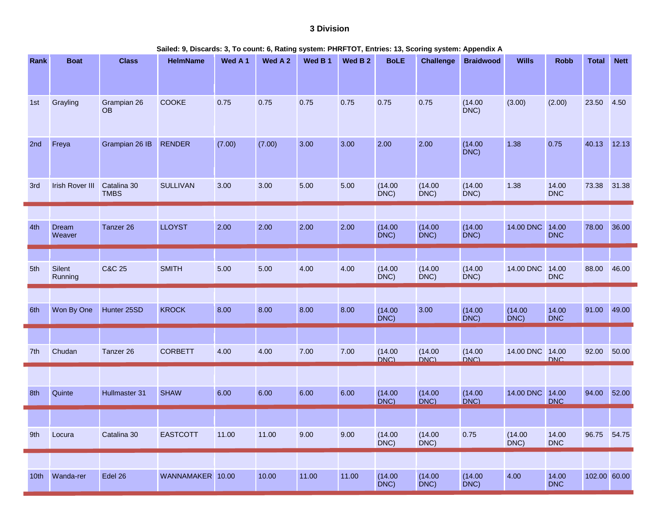# **3 Division**

| Sailed: 9, Discards: 3, To count: 6, Rating system: PHRFTOT, Entries: 13, Scoring system: Appendix A |
|------------------------------------------------------------------------------------------------------|
|------------------------------------------------------------------------------------------------------|

| Rank             | <b>Boat</b>            | <b>Class</b>               | <b>HelmName</b>  | Wed A 1 | Wed A 2 | Wed B 1 | Wed B <sub>2</sub> | <b>BoLE</b>        | <b>Challenge</b> | <b>Braidwood</b>   | <b>Wills</b>    | <b>Robb</b>         | <b>Total</b> | <b>Nett</b> |
|------------------|------------------------|----------------------------|------------------|---------|---------|---------|--------------------|--------------------|------------------|--------------------|-----------------|---------------------|--------------|-------------|
|                  |                        |                            |                  |         |         |         |                    |                    |                  |                    |                 |                     |              |             |
| 1st              | Grayling               | Grampian 26<br><b>OB</b>   | COOKE            | 0.75    | 0.75    | 0.75    | 0.75               | 0.75               | 0.75             | (14.00)<br>$DNC$ ) | (3.00)          | (2.00)              | 23.50        | 4.50        |
| 2nd              | Freya                  | Grampian 26 IB             | <b>RENDER</b>    | (7.00)  | (7.00)  | 3.00    | 3.00               | 2.00               | 2.00             | (14.00)<br>DNC)    | 1.38            | 0.75                | 40.13        | 12.13       |
| 3rd              | <b>Irish Rover III</b> | Catalina 30<br><b>TMBS</b> | <b>SULLIVAN</b>  | 3.00    | 3.00    | 5.00    | 5.00               | (14.00)<br>DNC)    | (14.00)<br>DNC   | (14.00)<br>$DNC$ ) | 1.38            | 14.00<br><b>DNC</b> | 73.38        | 31.38       |
|                  |                        |                            |                  |         |         |         |                    |                    |                  |                    |                 |                     |              |             |
| 4th              | Dream<br>Weaver        | Tanzer 26                  | <b>LLOYST</b>    | 2.00    | 2.00    | 2.00    | 2.00               | (14.00)<br>$DNC$ ) | (14.00)<br>DNC)  | (14.00)<br>$DNC$ ) | 14.00 DNC       | 14.00<br><b>DNC</b> | 78.00        | 36.00       |
|                  |                        |                            |                  |         |         |         |                    |                    |                  |                    |                 |                     |              |             |
| 5th              | Silent<br>Running      | <b>C&amp;C 25</b>          | <b>SMITH</b>     | 5.00    | 5.00    | 4.00    | 4.00               | (14.00)<br>DNC)    | (14.00)<br>DNC)  | (14.00)<br>DNC)    | 14.00 DNC 14.00 | <b>DNC</b>          | 88.00        | 46.00       |
|                  |                        |                            |                  |         |         |         |                    |                    |                  |                    |                 |                     |              |             |
| 6th              | Won By One             | Hunter 25SD                | <b>KROCK</b>     | 8.00    | 8.00    | 8.00    | 8.00               | (14.00)<br>DNC)    | 3.00             | (14.00)<br>DNC)    | (14.00)<br>DNC) | 14.00<br><b>DNC</b> | 91.00        | 49.00       |
|                  |                        |                            |                  |         |         |         |                    |                    |                  |                    |                 |                     |              |             |
| 7th              | Chudan                 | Tanzer 26                  | <b>CORBETT</b>   | 4.00    | 4.00    | 7.00    | 7.00               | (14.00)<br>DNC)    | (14.00)          | (14.00)<br>DNC)    | 14.00 DNC 14.00 | DNC.                | 92.00        | 50.00       |
|                  |                        |                            |                  |         |         |         |                    |                    |                  |                    |                 |                     |              |             |
| 8th              | Quinte                 | Hullmaster 31              | <b>SHAW</b>      | 6.00    | 6.00    | 6.00    | 6.00               | (14.00)<br>DNC)    | (14.00)<br>DNC)  | (14.00)<br>DNC     | 14.00 DNC       | 14.00<br><b>DNC</b> | 94.00        | 52.00       |
|                  |                        |                            |                  |         |         |         |                    |                    |                  |                    |                 |                     |              |             |
| 9th              | Locura                 | Catalina 30                | <b>EASTCOTT</b>  | 11.00   | 11.00   | 9.00    | 9.00               | (14.00)<br>DNC)    | (14.00)<br>DNC)  | 0.75               | (14.00)<br>DNC) | 14.00<br><b>DNC</b> | 96.75        | 54.75       |
|                  |                        |                            |                  |         |         |         |                    |                    |                  |                    |                 |                     |              |             |
| 10 <sub>th</sub> | Wanda-rer              | Edel 26                    | WANNAMAKER 10.00 |         | 10.00   | 11.00   | 11.00              | (14.00)<br>$DNC$ ) | (14.00)<br>DNC)  | (14.00)<br>$DNC$ ) | 4.00            | 14.00<br><b>DNC</b> | 102.00 60.00 |             |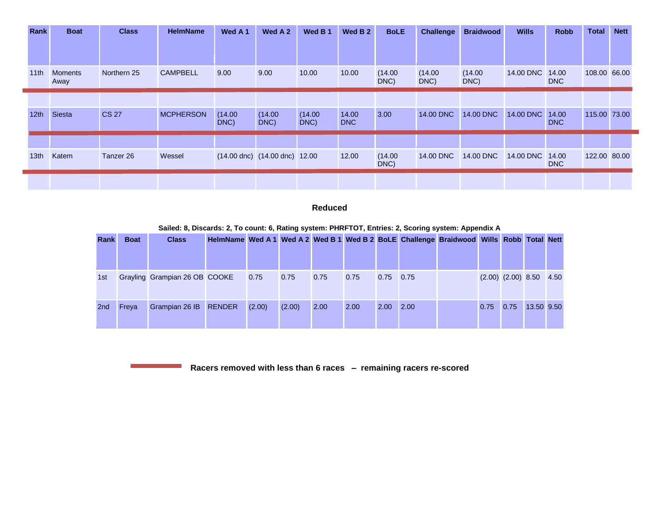| Rank             | <b>Boat</b>            | <b>Class</b> | <b>HelmName</b>  | Wed A <sub>1</sub> | Wed A 2                                 | Wed B 1         | Wed B 2      | <b>BoLE</b>     | Challenge       | <b>Braidwood</b> | <b>Wills</b> | <b>Robb</b>         | <b>Total</b> | <b>Nett</b> |
|------------------|------------------------|--------------|------------------|--------------------|-----------------------------------------|-----------------|--------------|-----------------|-----------------|------------------|--------------|---------------------|--------------|-------------|
|                  |                        |              |                  |                    |                                         |                 |              |                 |                 |                  |              |                     |              |             |
| 11th             | <b>Moments</b><br>Away | Northern 25  | <b>CAMPBELL</b>  | 9.00               | 9.00                                    | 10.00           | 10.00        | (14.00)<br>DNC) | (14.00)<br>DNC) | (14.00)<br>DNC)  | 14.00 DNC    | 14.00<br><b>DNC</b> | 108.00 66.00 |             |
|                  |                        |              |                  |                    |                                         |                 |              |                 |                 |                  |              |                     |              |             |
| 12 <sub>th</sub> | Siesta                 | <b>CS 27</b> | <b>MCPHERSON</b> | (14.00)<br>DNC)    | (14.00)<br>DNC)                         | (14.00)<br>DNC) | 14.00<br>DNC | 3.00            | 14.00 DNC       | 14.00 DNC        | 14.00 DNC    | 14.00<br><b>DNC</b> | 115.00 73.00 |             |
|                  |                        |              |                  |                    |                                         |                 |              |                 |                 |                  |              |                     |              |             |
| 13 <sub>th</sub> | Katem                  | Tanzer 26    | Wessel           |                    | $(14.00$ dnc $)$ $(14.00$ dnc $)$ 12.00 |                 | 12.00        | (14.00)<br>DNC) | 14.00 DNC       | 14.00 DNC        | 14.00 DNC    | 14.00<br><b>DNC</b> | 122.00 80.00 |             |
|                  |                        |              |                  |                    |                                         |                 |              |                 |                 |                  |              |                     |              |             |

### **Reduced**

| Rank            | <b>Boat</b> | <b>Class</b>                  |        |        |      |      |             |      | HelmName Wed A 1 Wed A 2 Wed B 1 Wed B 2 BoLE Challenge Braidwood Wills Robb Total Nett |      |                             |            |  |
|-----------------|-------------|-------------------------------|--------|--------|------|------|-------------|------|-----------------------------------------------------------------------------------------|------|-----------------------------|------------|--|
|                 |             |                               |        |        |      |      |             |      |                                                                                         |      |                             |            |  |
| 1st             |             | Grayling Grampian 26 OB COOKE | 0.75   | 0.75   | 0.75 | 0.75 | $0.75$ 0.75 |      |                                                                                         |      | $(2.00)$ $(2.00)$ 8.50 4.50 |            |  |
| 2 <sub>nd</sub> | Freva       | Grampian 26 IB RENDER         | (2.00) | (2.00) | 2.00 | 2.00 | 2.00        | 2.00 |                                                                                         | 0.75 | 0.75                        | 13.50 9.50 |  |

**Sailed: 8, Discards: 2, To count: 6, Rating system: PHRFTOT, Entries: 2, Scoring system: Appendix A**

**Racers removed with less than 6 races – remaining racers re-scored** 

the control of the control of the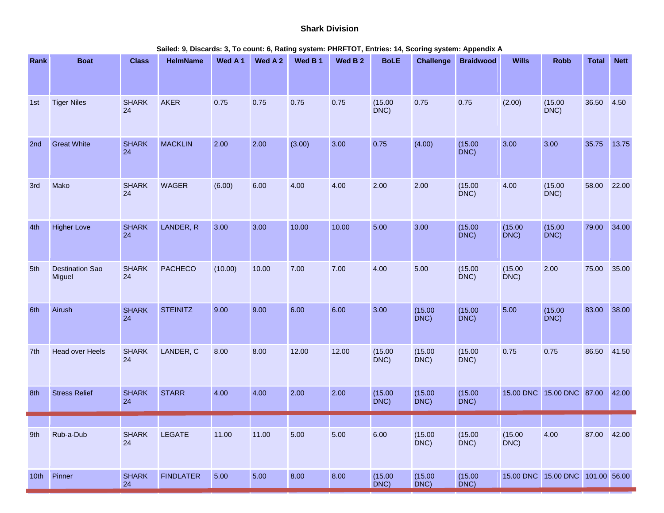## **Shark Division**

| Rank             | <b>Boat</b>                      | <b>Class</b>       | <b>HelmName</b>  | Wed A 1 | Wed A 2 | Wed B 1 | Wed B <sub>2</sub> | <b>BoLE</b>     | <b>Challenge</b> | <b>Braidwood</b> | <b>Wills</b>       | <b>Robb</b>               | <b>Total</b> | <b>Nett</b> |
|------------------|----------------------------------|--------------------|------------------|---------|---------|---------|--------------------|-----------------|------------------|------------------|--------------------|---------------------------|--------------|-------------|
|                  |                                  |                    |                  |         |         |         |                    |                 |                  |                  |                    |                           |              |             |
| 1st              | <b>Tiger Niles</b>               | <b>SHARK</b><br>24 | <b>AKER</b>      | 0.75    | 0.75    | 0.75    | 0.75               | (15.00)<br>DNC  | 0.75             | 0.75             | (2.00)             | (15.00)<br>$DNC$ )        | 36.50        | 4.50        |
| 2nd              | <b>Great White</b>               | <b>SHARK</b><br>24 | <b>MACKLIN</b>   | 2.00    | 2.00    | (3.00)  | 3.00               | 0.75            | (4.00)           | (15.00)<br>DNC)  | 3.00               | 3.00                      | 35.75        | 13.75       |
| 3rd              | Mako                             | <b>SHARK</b><br>24 | <b>WAGER</b>     | (6.00)  | 6.00    | 4.00    | 4.00               | 2.00            | 2.00             | (15.00)<br>DNC)  | 4.00               | (15.00)<br>DNC)           | 58.00        | 22.00       |
| 4th              | <b>Higher Love</b>               | <b>SHARK</b><br>24 | LANDER, R        | 3.00    | 3.00    | 10.00   | 10.00              | 5.00            | 3.00             | (15.00)<br>DNC)  | (15.00)<br>DNC)    | (15.00)<br>DNC)           | 79.00        | 34.00       |
| 5th              | <b>Destination Sao</b><br>Miguel | <b>SHARK</b><br>24 | <b>PACHECO</b>   | (10.00) | 10.00   | 7.00    | 7.00               | 4.00            | 5.00             | (15.00)<br>DNC)  | (15.00)<br>$DNC$ ) | 2.00                      | 75.00        | 35.00       |
| 6th              | Airush                           | <b>SHARK</b><br>24 | <b>STEINITZ</b>  | 9.00    | 9.00    | 6.00    | 6.00               | 3.00            | (15.00)<br>DNC)  | (15.00)<br>DNC)  | 5.00               | (15.00)<br>DNC)           | 83.00        | 38.00       |
| 7th              | <b>Head over Heels</b>           | <b>SHARK</b><br>24 | LANDER, C        | 8.00    | 8.00    | 12.00   | 12.00              | (15.00)<br>DNC) | (15.00)<br>DNC)  | (15.00)<br>DNC)  | 0.75               | 0.75                      | 86.50        | 41.50       |
| 8th              | <b>Stress Relief</b>             | <b>SHARK</b><br>24 | <b>STARR</b>     | 4.00    | 4.00    | 2.00    | 2.00               | (15.00)<br>DNC) | (15.00)<br>DNC)  | (15.00)<br>DNC)  |                    | 15.00 DNC 15.00 DNC 87.00 |              | 42.00       |
|                  |                                  |                    |                  |         |         |         |                    |                 |                  |                  |                    |                           |              |             |
| 9th              | Rub-a-Dub                        | <b>SHARK</b><br>24 | LEGATE           | 11.00   | 11.00   | 5.00    | 5.00               | 6.00            | (15.00)<br>DNC)  | (15.00)<br>DNC)  | (15.00)<br>$DNC$ ) | 4.00                      | 87.00        | 42.00       |
| 10 <sup>th</sup> | Pinner                           | <b>SHARK</b><br>24 | <b>FINDLATER</b> | 5.00    | 5.00    | 8.00    | 8.00               | (15.00)<br>DNC) | (15.00)<br>DNC)  | (15.00)<br>DNC)  |                    | 15.00 DNC 15.00 DNC       | 101.00 56.00 |             |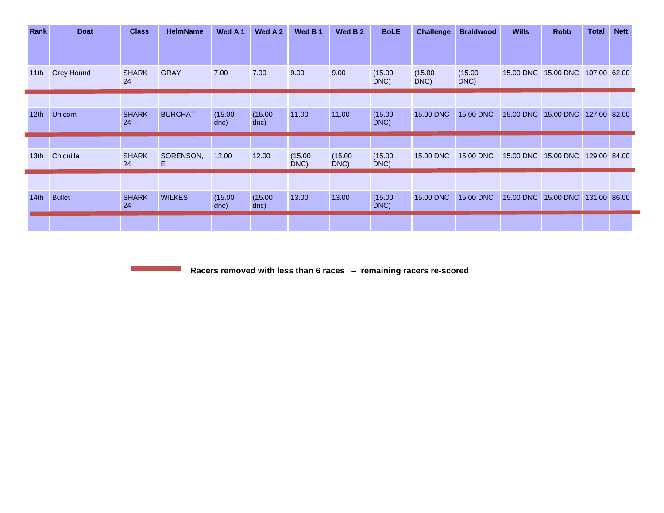| Rank             | <b>Boat</b>       | <b>Class</b>       | <b>HelmName</b> | Wed A 1         | Wed A 2         | Wed B 1         | Wed B <sub>2</sub> | <b>BoLE</b>     | <b>Challenge</b> | <b>Braidwood</b> | <b>Wills</b>        | <b>Robb</b>         | <b>Total</b> | <b>Nett</b> |
|------------------|-------------------|--------------------|-----------------|-----------------|-----------------|-----------------|--------------------|-----------------|------------------|------------------|---------------------|---------------------|--------------|-------------|
|                  |                   |                    |                 |                 |                 |                 |                    |                 |                  |                  |                     |                     |              |             |
| 11th             | <b>Grey Hound</b> | <b>SHARK</b><br>24 | <b>GRAY</b>     | 7.00            | 7.00            | 9.00            | 9.00               | (15.00)<br>DNC) | (15.00)<br>DNC)  | (15.00)<br>DNC)  |                     | 15.00 DNC 15.00 DNC | 107.00 62.00 |             |
|                  |                   |                    |                 |                 |                 |                 |                    |                 |                  |                  |                     |                     |              |             |
| 12 <sub>th</sub> | <b>Unicorn</b>    | <b>SHARK</b><br>24 | <b>BURCHAT</b>  | (15.00)<br>dnc) | (15.00)<br>dnc) | 11.00           | 11.00              | (15.00)<br>DNC) | 15.00 DNC        | 15.00 DNC        | 15.00 DNC           | 15.00 DNC           | 127.00 82.00 |             |
|                  |                   |                    |                 |                 |                 |                 |                    |                 |                  |                  |                     |                     |              |             |
| 13 <sub>th</sub> | Chiquilla         | <b>SHARK</b><br>24 | SORENSON,<br>Е  | 12.00           | 12.00           | (15.00)<br>DNC) | (15.00)<br>DNC)    | (15.00)<br>DNC) | 15.00 DNC        | 15.00 DNC        | 15.00 DNC 15.00 DNC |                     | 129.00 84.00 |             |
|                  |                   |                    |                 |                 |                 |                 |                    |                 |                  |                  |                     |                     |              |             |
| 14th             | <b>Bullet</b>     | <b>SHARK</b><br>24 | <b>WILKES</b>   | (15.00)<br>dnc) | (15.00)<br>dnc) | 13.00           | 13.00              | (15.00)<br>DNC) | 15.00 DNC        | 15.00 DNC        | 15.00 DNC           | 15.00 DNC           | 131.00 86.00 |             |
|                  |                   |                    |                 |                 |                 |                 |                    |                 |                  |                  |                     |                     |              |             |

**Racers removed with less than 6 races – remaining racers re-scored** 

 $\mathcal{L}^{\text{max}}_{\text{max}}$  and  $\mathcal{L}^{\text{max}}_{\text{max}}$  and  $\mathcal{L}^{\text{max}}_{\text{max}}$